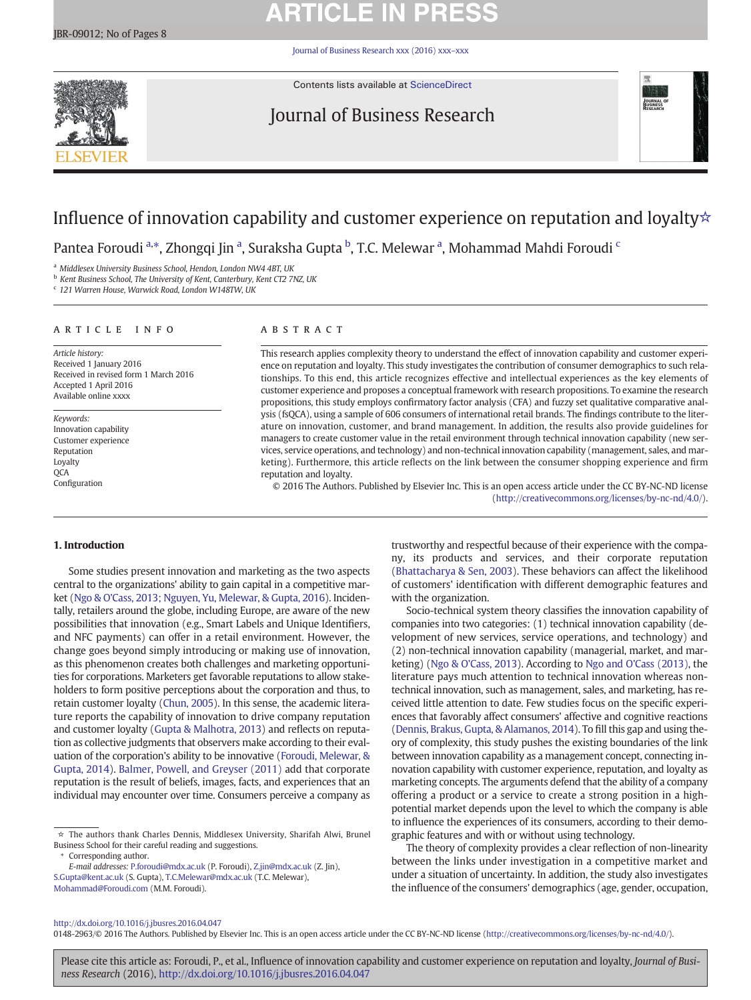# **ARTICLE IN PRESS**

[Journal of Business Research xxx \(2016\) xxx](http://dx.doi.org/10.1016/j.jbusres.2016.04.047)–xxx



Contents lists available at [ScienceDirect](http://www.sciencedirect.com/science/journal/01482963)

## Journal of Business Research



## Influence of innovation capability and customer experience on reputation and loyalty☆

Pantea Foroudi <sup>a,</sup>\*, Zhongqi Jin <sup>a</sup>, Suraksha Gupta <sup>b</sup>, T.C. Melewar <sup>a</sup>, Mohammad Mahdi Foroudi <sup>c</sup>

<sup>a</sup> Middlesex University Business School, Hendon, London NW4 4BT, UK

b Kent Business School, The University of Kent, Canterbury, Kent CT2 7NZ, UK

<sup>c</sup> 121 Warren House, Warwick Road, London W148TW, UK

### article info abstract

Article history: Received 1 January 2016 Received in revised form 1 March 2016 Accepted 1 April 2016 Available online xxxx

Keywords: Innovation capability Customer experience Reputation Loyalty **OCA** Configuration

This research applies complexity theory to understand the effect of innovation capability and customer experience on reputation and loyalty. This study investigates the contribution of consumer demographics to such relationships. To this end, this article recognizes effective and intellectual experiences as the key elements of customer experience and proposes a conceptual framework with research propositions. To examine the research propositions, this study employs confirmatory factor analysis (CFA) and fuzzy set qualitative comparative analysis (fsQCA), using a sample of 606 consumers of international retail brands. The findings contribute to the literature on innovation, customer, and brand management. In addition, the results also provide guidelines for managers to create customer value in the retail environment through technical innovation capability (new services, service operations, and technology) and non-technical innovation capability (management, sales, and marketing). Furthermore, this article reflects on the link between the consumer shopping experience and firm reputation and loyalty.

© 2016 The Authors. Published by Elsevier Inc. This is an open access article under the CC BY-NC-ND license

([http://creativecommons.org/licenses/by-nc-nd/4.0/\)](http://creativecommons.org/licenses/by-nc-nd/4.0/).

### 1. Introduction

Some studies present innovation and marketing as the two aspects central to the organizations' ability to gain capital in a competitive market ([Ngo & O'Cass, 2013; Nguyen, Yu, Melewar, & Gupta, 2016\)](#page-7-0). Incidentally, retailers around the globe, including Europe, are aware of the new possibilities that innovation (e.g., Smart Labels and Unique Identifiers, and NFC payments) can offer in a retail environment. However, the change goes beyond simply introducing or making use of innovation, as this phenomenon creates both challenges and marketing opportunities for corporations. Marketers get favorable reputations to allow stakeholders to form positive perceptions about the corporation and thus, to retain customer loyalty [\(Chun, 2005](#page-7-0)). In this sense, the academic literature reports the capability of innovation to drive company reputation and customer loyalty ([Gupta & Malhotra, 2013](#page-7-0)) and reflects on reputation as collective judgments that observers make according to their evaluation of the corporation's ability to be innovative ([Foroudi, Melewar, &](#page-7-0) [Gupta, 2014\)](#page-7-0). [Balmer, Powell, and Greyser \(2011\)](#page-7-0) add that corporate reputation is the result of beliefs, images, facts, and experiences that an individual may encounter over time. Consumers perceive a company as

Corresponding author.

E-mail addresses: P.foroudi@mdx.ac.uk (P. Foroudi), Z.jin@mdx.ac.uk (Z. Jin),

S.Gupta@kent.ac.uk (S. Gupta), T.C.Melewar@mdx.ac.uk (T.C. Melewar), [Mohammad@Foroudi.com](mailto:Mohammad@Foroudi.com) (M.M. Foroudi).

trustworthy and respectful because of their experience with the company, its products and services, and their corporate reputation [\(Bhattacharya & Sen, 2003\)](#page-7-0). These behaviors can affect the likelihood of customers' identification with different demographic features and with the organization.

Socio-technical system theory classifies the innovation capability of companies into two categories: (1) technical innovation capability (development of new services, service operations, and technology) and (2) non-technical innovation capability (managerial, market, and marketing) ([Ngo & O'Cass, 2013](#page-7-0)). According to [Ngo and O'Cass \(2013\),](#page-7-0) the literature pays much attention to technical innovation whereas nontechnical innovation, such as management, sales, and marketing, has received little attention to date. Few studies focus on the specific experiences that favorably affect consumers' affective and cognitive reactions [\(Dennis, Brakus, Gupta, & Alamanos, 2014](#page-7-0)). To fill this gap and using theory of complexity, this study pushes the existing boundaries of the link between innovation capability as a management concept, connecting innovation capability with customer experience, reputation, and loyalty as marketing concepts. The arguments defend that the ability of a company offering a product or a service to create a strong position in a highpotential market depends upon the level to which the company is able to influence the experiences of its consumers, according to their demographic features and with or without using technology.

The theory of complexity provides a clear reflection of non-linearity between the links under investigation in a competitive market and under a situation of uncertainty. In addition, the study also investigates the influence of the consumers' demographics (age, gender, occupation,

### <http://dx.doi.org/10.1016/j.jbusres.2016.04.047>

0148-2963/© 2016 The Authors. Published by Elsevier Inc. This is an open access article under the CC BY-NC-ND license ([http://creativecommons.org/licenses/by-nc-nd/4.0/\)](http://creativecommons.org/licenses/by-nc-nd/4.0/).

<sup>☆</sup> The authors thank Charles Dennis, Middlesex University, Sharifah Alwi, Brunel Business School for their careful reading and suggestions.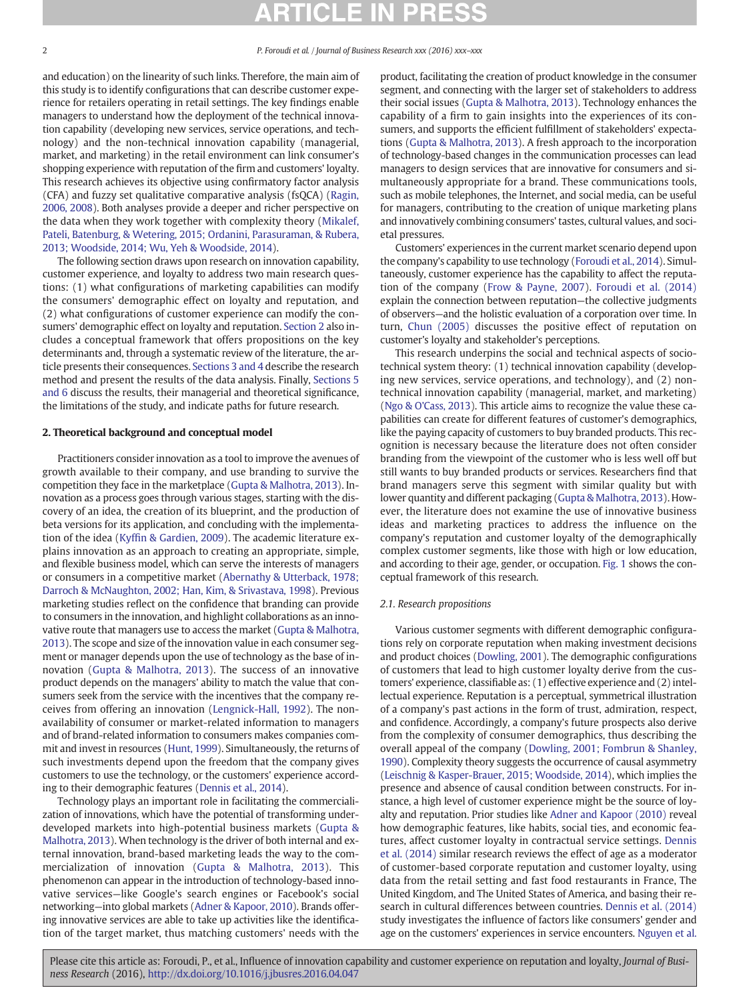and education) on the linearity of such links. Therefore, the main aim of this study is to identify configurations that can describe customer experience for retailers operating in retail settings. The key findings enable managers to understand how the deployment of the technical innovation capability (developing new services, service operations, and technology) and the non-technical innovation capability (managerial, market, and marketing) in the retail environment can link consumer's shopping experience with reputation of the firm and customers' loyalty. This research achieves its objective using confirmatory factor analysis (CFA) and fuzzy set qualitative comparative analysis (fsQCA) [\(Ragin,](#page-7-0) [2006, 2008](#page-7-0)). Both analyses provide a deeper and richer perspective on the data when they work together with complexity theory [\(Mikalef,](#page-7-0) [Pateli, Batenburg, & Wetering, 2015; Ordanini, Parasuraman, & Rubera,](#page-7-0) [2013; Woodside, 2014; Wu, Yeh & Woodside, 2014\)](#page-7-0).

The following section draws upon research on innovation capability, customer experience, and loyalty to address two main research questions: (1) what configurations of marketing capabilities can modify the consumers' demographic effect on loyalty and reputation, and (2) what configurations of customer experience can modify the consumers' demographic effect on loyalty and reputation. Section 2 also includes a conceptual framework that offers propositions on the key determinants and, through a systematic review of the literature, the article presents their consequences. [Sections 3 and 4](#page-2-0) describe the research method and present the results of the data analysis. Finally, [Sections 5](#page-3-0) [and 6](#page-3-0) discuss the results, their managerial and theoretical significance, the limitations of the study, and indicate paths for future research.

#### 2. Theoretical background and conceptual model

Practitioners consider innovation as a tool to improve the avenues of growth available to their company, and use branding to survive the competition they face in the marketplace [\(Gupta & Malhotra, 2013\)](#page-7-0). Innovation as a process goes through various stages, starting with the discovery of an idea, the creation of its blueprint, and the production of beta versions for its application, and concluding with the implementation of the idea (Kyffi[n & Gardien, 2009\)](#page-7-0). The academic literature explains innovation as an approach to creating an appropriate, simple, and flexible business model, which can serve the interests of managers or consumers in a competitive market [\(Abernathy & Utterback, 1978;](#page-7-0) [Darroch & McNaughton, 2002; Han, Kim, & Srivastava, 1998\)](#page-7-0). Previous marketing studies reflect on the confidence that branding can provide to consumers in the innovation, and highlight collaborations as an innovative route that managers use to access the market [\(Gupta & Malhotra,](#page-7-0) [2013\)](#page-7-0). The scope and size of the innovation value in each consumer segment or manager depends upon the use of technology as the base of innovation [\(Gupta & Malhotra, 2013\)](#page-7-0). The success of an innovative product depends on the managers' ability to match the value that consumers seek from the service with the incentives that the company receives from offering an innovation ([Lengnick-Hall, 1992\)](#page-7-0). The nonavailability of consumer or market-related information to managers and of brand-related information to consumers makes companies commit and invest in resources [\(Hunt, 1999](#page-7-0)). Simultaneously, the returns of such investments depend upon the freedom that the company gives customers to use the technology, or the customers' experience according to their demographic features [\(Dennis et al., 2014\)](#page-7-0).

Technology plays an important role in facilitating the commercialization of innovations, which have the potential of transforming underdeveloped markets into high-potential business markets ([Gupta &](#page-7-0) [Malhotra, 2013](#page-7-0)). When technology is the driver of both internal and external innovation, brand-based marketing leads the way to the commercialization of innovation [\(Gupta & Malhotra, 2013\)](#page-7-0). This phenomenon can appear in the introduction of technology-based innovative services—like Google's search engines or Facebook's social networking—into global markets [\(Adner & Kapoor, 2010\)](#page-7-0). Brands offering innovative services are able to take up activities like the identification of the target market, thus matching customers' needs with the product, facilitating the creation of product knowledge in the consumer segment, and connecting with the larger set of stakeholders to address their social issues ([Gupta & Malhotra, 2013](#page-7-0)). Technology enhances the capability of a firm to gain insights into the experiences of its consumers, and supports the efficient fulfillment of stakeholders' expectations [\(Gupta & Malhotra, 2013\)](#page-7-0). A fresh approach to the incorporation of technology-based changes in the communication processes can lead managers to design services that are innovative for consumers and simultaneously appropriate for a brand. These communications tools, such as mobile telephones, the Internet, and social media, can be useful for managers, contributing to the creation of unique marketing plans and innovatively combining consumers' tastes, cultural values, and societal pressures.

Customers' experiences in the current market scenario depend upon the company's capability to use technology [\(Foroudi et al., 2014\)](#page-7-0). Simultaneously, customer experience has the capability to affect the reputation of the company ([Frow & Payne, 2007](#page-7-0)). [Foroudi et al. \(2014\)](#page-7-0) explain the connection between reputation—the collective judgments of observers—and the holistic evaluation of a corporation over time. In turn, [Chun \(2005\)](#page-7-0) discusses the positive effect of reputation on customer's loyalty and stakeholder's perceptions.

This research underpins the social and technical aspects of sociotechnical system theory: (1) technical innovation capability (developing new services, service operations, and technology), and (2) nontechnical innovation capability (managerial, market, and marketing) [\(Ngo & O'Cass, 2013](#page-7-0)). This article aims to recognize the value these capabilities can create for different features of customer's demographics, like the paying capacity of customers to buy branded products. This recognition is necessary because the literature does not often consider branding from the viewpoint of the customer who is less well off but still wants to buy branded products or services. Researchers find that brand managers serve this segment with similar quality but with lower quantity and different packaging ([Gupta & Malhotra, 2013](#page-7-0)). However, the literature does not examine the use of innovative business ideas and marketing practices to address the influence on the company's reputation and customer loyalty of the demographically complex customer segments, like those with high or low education, and according to their age, gender, or occupation. [Fig. 1](#page-2-0) shows the conceptual framework of this research.

#### 2.1. Research propositions

Various customer segments with different demographic configurations rely on corporate reputation when making investment decisions and product choices ([Dowling, 2001](#page-7-0)). The demographic configurations of customers that lead to high customer loyalty derive from the customers' experience, classifiable as: (1) effective experience and (2) intellectual experience. Reputation is a perceptual, symmetrical illustration of a company's past actions in the form of trust, admiration, respect, and confidence. Accordingly, a company's future prospects also derive from the complexity of consumer demographics, thus describing the overall appeal of the company ([Dowling, 2001; Fombrun & Shanley,](#page-7-0) [1990\)](#page-7-0). Complexity theory suggests the occurrence of causal asymmetry [\(Leischnig & Kasper-Brauer, 2015; Woodside, 2014](#page-7-0)), which implies the presence and absence of causal condition between constructs. For instance, a high level of customer experience might be the source of loyalty and reputation. Prior studies like [Adner and Kapoor \(2010\)](#page-7-0) reveal how demographic features, like habits, social ties, and economic features, affect customer loyalty in contractual service settings. [Dennis](#page-7-0) [et al. \(2014\)](#page-7-0) similar research reviews the effect of age as a moderator of customer-based corporate reputation and customer loyalty, using data from the retail setting and fast food restaurants in France, The United Kingdom, and The United States of America, and basing their research in cultural differences between countries. [Dennis et al. \(2014\)](#page-7-0) study investigates the influence of factors like consumers' gender and age on the customers' experiences in service encounters. [Nguyen et al.](#page-7-0)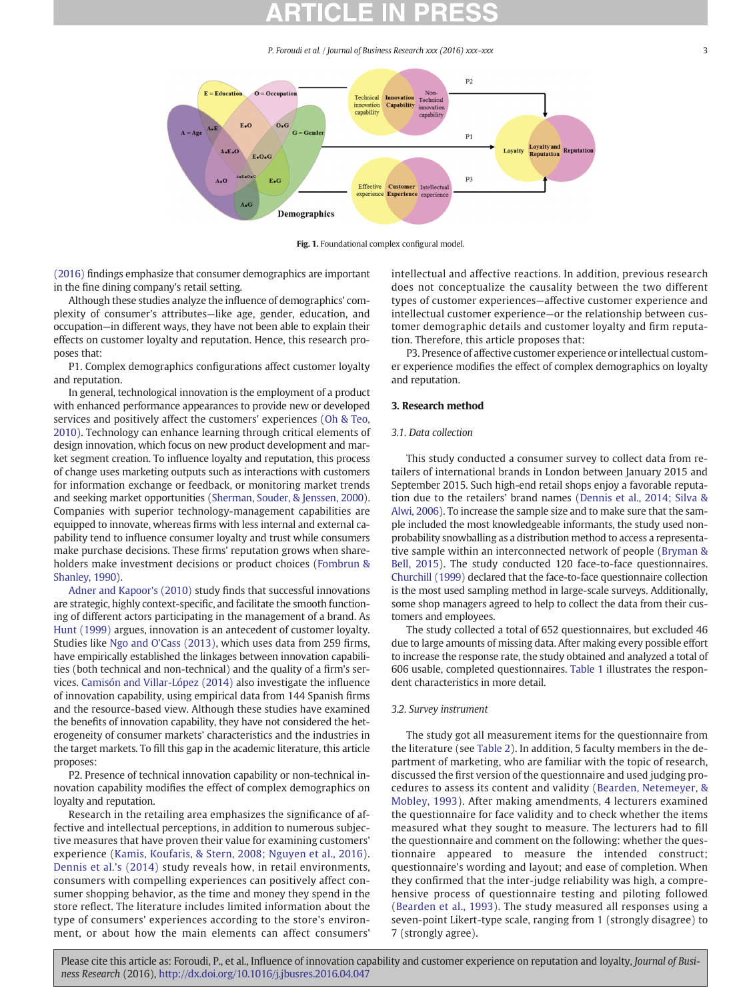<span id="page-2-0"></span>

Fig. 1. Foundational complex configural model.

[\(2016\)](#page-7-0) findings emphasize that consumer demographics are important in the fine dining company's retail setting.

Although these studies analyze the influence of demographics' complexity of consumer's attributes—like age, gender, education, and occupation—in different ways, they have not been able to explain their effects on customer loyalty and reputation. Hence, this research proposes that:

P1. Complex demographics configurations affect customer loyalty and reputation.

In general, technological innovation is the employment of a product with enhanced performance appearances to provide new or developed services and positively affect the customers' experiences ([Oh & Teo,](#page-7-0) [2010\)](#page-7-0). Technology can enhance learning through critical elements of design innovation, which focus on new product development and market segment creation. To influence loyalty and reputation, this process of change uses marketing outputs such as interactions with customers for information exchange or feedback, or monitoring market trends and seeking market opportunities [\(Sherman, Souder, & Jenssen, 2000](#page-7-0)). Companies with superior technology-management capabilities are equipped to innovate, whereas firms with less internal and external capability tend to influence consumer loyalty and trust while consumers make purchase decisions. These firms' reputation grows when shareholders make investment decisions or product choices ([Fombrun &](#page-7-0) [Shanley, 1990](#page-7-0)).

[Adner and Kapoor's \(2010\)](#page-7-0) study finds that successful innovations are strategic, highly context-specific, and facilitate the smooth functioning of different actors participating in the management of a brand. As [Hunt \(1999\)](#page-7-0) argues, innovation is an antecedent of customer loyalty. Studies like [Ngo and O'Cass \(2013\)](#page-7-0), which uses data from 259 firms, have empirically established the linkages between innovation capabilities (both technical and non-technical) and the quality of a firm's services. [Camisón and Villar-López \(2014\)](#page-7-0) also investigate the influence of innovation capability, using empirical data from 144 Spanish firms and the resource-based view. Although these studies have examined the benefits of innovation capability, they have not considered the heterogeneity of consumer markets' characteristics and the industries in the target markets. To fill this gap in the academic literature, this article proposes:

P2. Presence of technical innovation capability or non-technical innovation capability modifies the effect of complex demographics on loyalty and reputation.

Research in the retailing area emphasizes the significance of affective and intellectual perceptions, in addition to numerous subjective measures that have proven their value for examining customers' experience ([Kamis, Koufaris, & Stern, 2008; Nguyen et al., 2016\)](#page-7-0). [Dennis et al.](#page-7-0)'s (2014) study reveals how, in retail environments, consumers with compelling experiences can positively affect consumer shopping behavior, as the time and money they spend in the store reflect. The literature includes limited information about the type of consumers' experiences according to the store's environment, or about how the main elements can affect consumers'

intellectual and affective reactions. In addition, previous research does not conceptualize the causality between the two different types of customer experiences—affective customer experience and intellectual customer experience—or the relationship between customer demographic details and customer loyalty and firm reputation. Therefore, this article proposes that:

P3. Presence of affective customer experience or intellectual customer experience modifies the effect of complex demographics on loyalty and reputation.

### 3. Research method

#### 3.1. Data collection

This study conducted a consumer survey to collect data from retailers of international brands in London between January 2015 and September 2015. Such high-end retail shops enjoy a favorable reputation due to the retailers' brand names [\(Dennis et al., 2014; Silva &](#page-7-0) [Alwi, 2006](#page-7-0)). To increase the sample size and to make sure that the sample included the most knowledgeable informants, the study used nonprobability snowballing as a distribution method to access a representative sample within an interconnected network of people ([Bryman &](#page-7-0) [Bell, 2015](#page-7-0)). The study conducted 120 face-to-face questionnaires. [Churchill \(1999\)](#page-7-0) declared that the face-to-face questionnaire collection is the most used sampling method in large-scale surveys. Additionally, some shop managers agreed to help to collect the data from their customers and employees.

The study collected a total of 652 questionnaires, but excluded 46 due to large amounts of missing data. After making every possible effort to increase the response rate, the study obtained and analyzed a total of 606 usable, completed questionnaires. [Table 1](#page-3-0) illustrates the respondent characteristics in more detail.

### 3.2. Survey instrument

The study got all measurement items for the questionnaire from the literature (see [Table 2\)](#page-3-0). In addition, 5 faculty members in the department of marketing, who are familiar with the topic of research, discussed the first version of the questionnaire and used judging procedures to assess its content and validity ([Bearden, Netemeyer, &](#page-7-0) [Mobley, 1993](#page-7-0)). After making amendments, 4 lecturers examined the questionnaire for face validity and to check whether the items measured what they sought to measure. The lecturers had to fill the questionnaire and comment on the following: whether the questionnaire appeared to measure the intended construct; questionnaire's wording and layout; and ease of completion. When they confirmed that the inter-judge reliability was high, a comprehensive process of questionnaire testing and piloting followed [\(Bearden et al., 1993\)](#page-7-0). The study measured all responses using a seven-point Likert-type scale, ranging from 1 (strongly disagree) to 7 (strongly agree).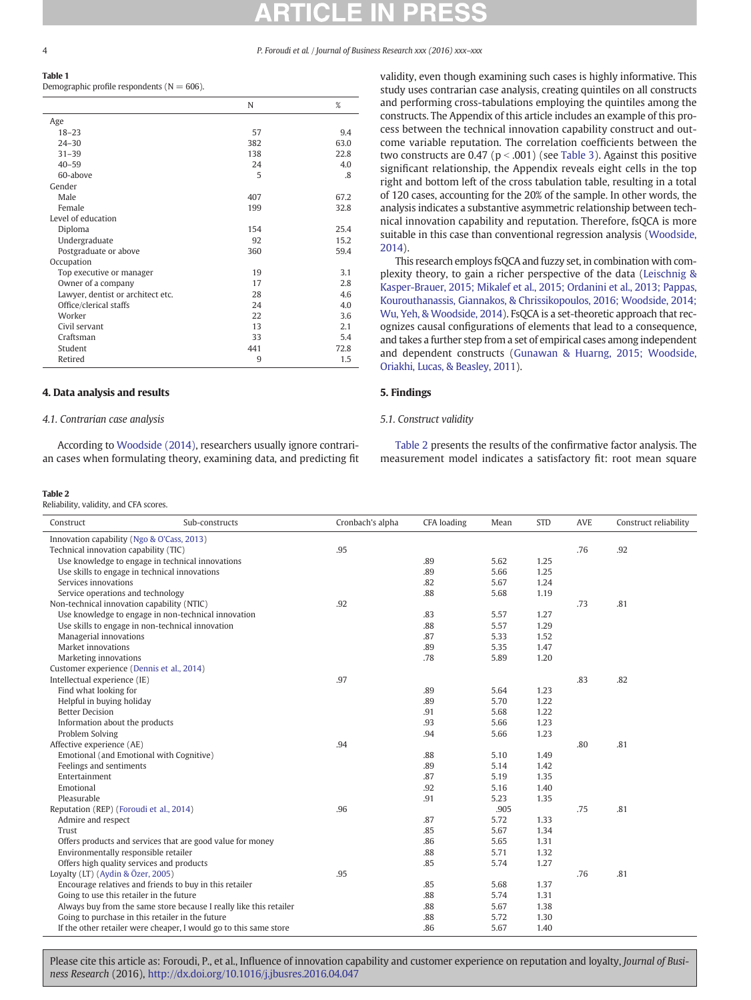<span id="page-3-0"></span>Table 1 Demographic profile respondents  $(N = 606)$ .

|                                   | N   | $\%$ |
|-----------------------------------|-----|------|
| Age                               |     |      |
| $18 - 23$                         | 57  | 9.4  |
| $24 - 30$                         | 382 | 63.0 |
| $31 - 39$                         | 138 | 22.8 |
| $40 - 59$                         | 24  | 4.0  |
| 60-above                          | 5   | .8   |
| Gender                            |     |      |
| Male                              | 407 | 67.2 |
| Female                            | 199 | 32.8 |
| Level of education                |     |      |
| Diploma                           | 154 | 25.4 |
| Undergraduate                     | 92  | 15.2 |
| Postgraduate or above             | 360 | 59.4 |
| Occupation                        |     |      |
| Top executive or manager          | 19  | 3.1  |
| Owner of a company                | 17  | 2.8  |
| Lawyer, dentist or architect etc. | 28  | 4.6  |
| Office/clerical staffs            | 24  | 4.0  |
| Worker                            | 22  | 3.6  |
| Civil servant                     | 13  | 2.1  |
| Craftsman                         | 33  | 5.4  |
| Student                           | 441 | 72.8 |
| Retired                           | 9   | 1.5  |

### 4. Data analysis and results

#### 4.1. Contrarian case analysis

According to [Woodside \(2014\)](#page-7-0), researchers usually ignore contrarian cases when formulating theory, examining data, and predicting fit

#### Table 2

Reliability, validity, and CFA scores.

validity, even though examining such cases is highly informative. This study uses contrarian case analysis, creating quintiles on all constructs and performing cross-tabulations employing the quintiles among the constructs. The Appendix of this article includes an example of this process between the technical innovation capability construct and outcome variable reputation. The correlation coefficients between the two constructs are 0.47 ( $p < .001$ ) (see [Table 3](#page-4-0)). Against this positive significant relationship, the Appendix reveals eight cells in the top right and bottom left of the cross tabulation table, resulting in a total of 120 cases, accounting for the 20% of the sample. In other words, the analysis indicates a substantive asymmetric relationship between technical innovation capability and reputation. Therefore, fsQCA is more suitable in this case than conventional regression analysis ([Woodside,](#page-7-0) [2014\)](#page-7-0).

This research employs fsQCA and fuzzy set, in combination with complexity theory, to gain a richer perspective of the data [\(Leischnig &](#page-7-0) [Kasper-Brauer, 2015; Mikalef et al., 2015; Ordanini et al., 2013; Pappas,](#page-7-0) [Kourouthanassis, Giannakos, & Chrissikopoulos, 2016; Woodside, 2014;](#page-7-0) [Wu, Yeh, & Woodside, 2014](#page-7-0)). FsQCA is a set-theoretic approach that recognizes causal configurations of elements that lead to a consequence, and takes a further step from a set of empirical cases among independent and dependent constructs ([Gunawan & Huarng, 2015; Woodside,](#page-7-0) [Oriakhi, Lucas, & Beasley, 2011](#page-7-0)).

#### 5. Findings

#### 5.1. Construct validity

Table 2 presents the results of the confirmative factor analysis. The measurement model indicates a satisfactory fit: root mean square

| Construct<br>Sub-constructs                                        | Cronbach's alpha | <b>CFA</b> loading | Mean | <b>STD</b> | <b>AVE</b> | Construct reliability |
|--------------------------------------------------------------------|------------------|--------------------|------|------------|------------|-----------------------|
| Innovation capability (Ngo & O'Cass, 2013)                         |                  |                    |      |            |            |                       |
| Technical innovation capability (TIC)                              | .95              |                    |      |            | .76        | .92                   |
| Use knowledge to engage in technical innovations                   |                  | .89                | 5.62 | 1.25       |            |                       |
| Use skills to engage in technical innovations                      |                  | .89                | 5.66 | 1.25       |            |                       |
| Services innovations                                               |                  | .82                | 5.67 | 1.24       |            |                       |
| Service operations and technology                                  |                  | .88                | 5.68 | 1.19       |            |                       |
| Non-technical innovation capability (NTIC)                         | .92              |                    |      |            | .73        | .81                   |
| Use knowledge to engage in non-technical innovation                |                  | .83                | 5.57 | 1.27       |            |                       |
| Use skills to engage in non-technical innovation                   |                  | .88                | 5.57 | 1.29       |            |                       |
| Managerial innovations                                             |                  | .87                | 5.33 | 1.52       |            |                       |
| Market innovations                                                 |                  | .89                | 5.35 | 1.47       |            |                       |
| Marketing innovations                                              |                  | .78                | 5.89 | 1.20       |            |                       |
| Customer experience (Dennis et al., 2014)                          |                  |                    |      |            |            |                       |
| Intellectual experience (IE)                                       | .97              |                    |      |            | .83        | .82                   |
| Find what looking for                                              |                  | .89                | 5.64 | 1.23       |            |                       |
| Helpful in buying holiday                                          |                  | .89                | 5.70 | 1.22       |            |                       |
| <b>Better Decision</b>                                             |                  | .91                | 5.68 | 1.22       |            |                       |
| Information about the products                                     |                  | .93                | 5.66 | 1.23       |            |                       |
| Problem Solving                                                    |                  | .94                | 5.66 | 1.23       |            |                       |
| Affective experience (AE)                                          | .94              |                    |      |            | .80        | .81                   |
| Emotional (and Emotional with Cognitive)                           |                  | .88                | 5.10 | 1.49       |            |                       |
| Feelings and sentiments                                            |                  | .89                | 5.14 | 1.42       |            |                       |
| Entertainment                                                      |                  | .87                | 5.19 | 1.35       |            |                       |
| Emotional                                                          |                  | .92                | 5.16 | 1.40       |            |                       |
| Pleasurable                                                        |                  | .91                | 5.23 | 1.35       |            |                       |
| Reputation (REP) (Foroudi et al., 2014)                            | .96              |                    | .905 |            | .75        | .81                   |
| Admire and respect                                                 |                  | .87                | 5.72 | 1.33       |            |                       |
| Trust                                                              |                  | .85                | 5.67 | 1.34       |            |                       |
| Offers products and services that are good value for money         |                  | .86                | 5.65 | 1.31       |            |                       |
| Environmentally responsible retailer                               |                  | .88                | 5.71 | 1.32       |            |                       |
| Offers high quality services and products                          |                  | .85                | 5.74 | 1.27       |            |                       |
| Loyalty (LT) (Aydin & Özer, 2005)                                  | .95              |                    |      |            | .76        | .81                   |
| Encourage relatives and friends to buy in this retailer            |                  | .85                | 5.68 | 1.37       |            |                       |
| Going to use this retailer in the future                           |                  | .88                | 5.74 | 1.31       |            |                       |
| Always buy from the same store because I really like this retailer |                  | .88                | 5.67 | 1.38       |            |                       |
| Going to purchase in this retailer in the future                   |                  | .88                | 5.72 | 1.30       |            |                       |
| If the other retailer were cheaper, I would go to this same store  |                  | .86                | 5.67 | 1.40       |            |                       |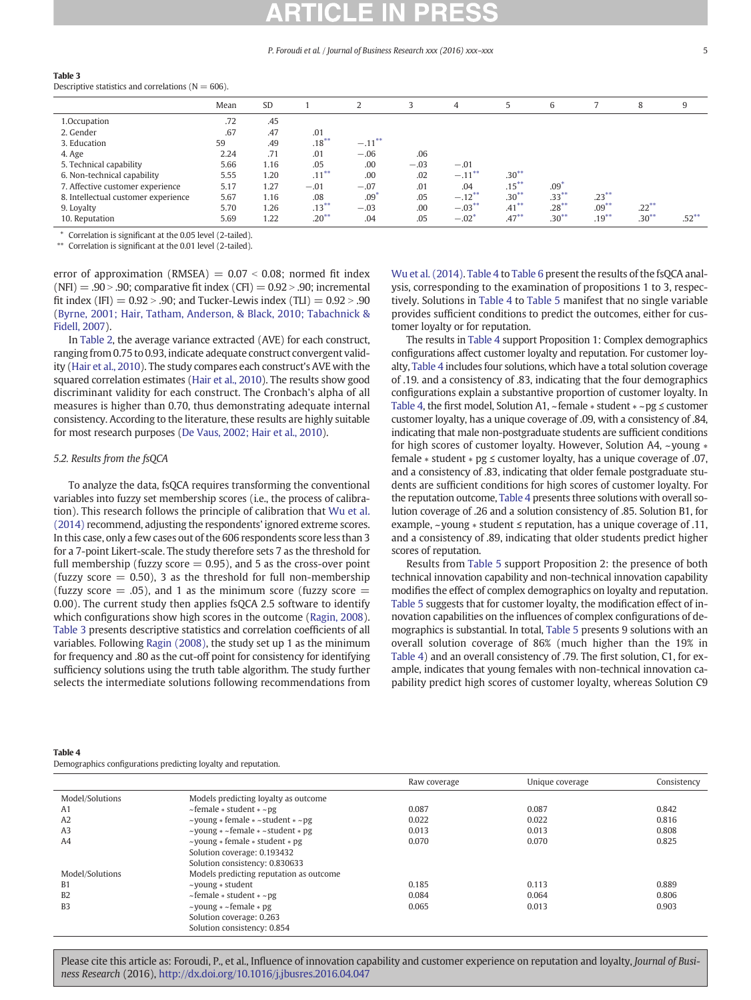#### <span id="page-4-0"></span>Table 3

Descriptive statistics and correlations ( $N = 606$ ).

|                                     | Mean | <b>SD</b> |          |           |        | 4         |          | 6                |          | 8        | 9        |
|-------------------------------------|------|-----------|----------|-----------|--------|-----------|----------|------------------|----------|----------|----------|
| 1.Occupation                        | .72  | .45       |          |           |        |           |          |                  |          |          |          |
| 2. Gender                           | .67  | .47       | .01      |           |        |           |          |                  |          |          |          |
| 3. Education                        | 59   | .49       | $.18***$ | $-.11***$ |        |           |          |                  |          |          |          |
| 4. Age                              | 2.24 | .71       | .01      | $-.06$    | .06    |           |          |                  |          |          |          |
| 5. Technical capability             | 5.66 | 1.16      | .05      | .00       | $-.03$ | $-.01$    |          |                  |          |          |          |
| 6. Non-technical capability         | 5.55 | 1.20      | $.11***$ | .00       | .02    | $-.11***$ | $.30***$ |                  |          |          |          |
| 7. Affective customer experience    | 5.17 | 1.27      | $-.01$   | $-.07$    | .01    | .04       | $.15***$ | .09 <sup>°</sup> |          |          |          |
| 8. Intellectual customer experience | 5.67 | 1.16      | .08      | $.09*$    | .05    | $-.12***$ | $.30***$ | $.33***$         | $.23***$ |          |          |
| 9. Loyalty                          | 5.70 | 1.26      | $.13***$ | $-.03$    | .00    | $-.03***$ | $.41***$ | $.28***$         | $.09***$ | $.22***$ |          |
| 10. Reputation                      | 5.69 | 1.22      | $.20***$ | .04       | .05    | $-.02*$   | $.47***$ | $.30***$         | $.19***$ | $.30***$ | $.52***$ |

Correlation is significant at the 0.05 level (2-tailed).

Correlation is significant at the 0.01 level (2-tailed).

error of approximation (RMSEA)  $= 0.07 < 0.08$ ; normed fit index  $(NFI) = .90 > .90$ ; comparative fit index  $(CFI) = 0.92 > .90$ ; incremental fit index (IFI)  $= 0.92$  > .90; and Tucker-Lewis index (TLI)  $= 0.92$  > .90 [\(Byrne, 2001; Hair, Tatham, Anderson, & Black, 2010; Tabachnick &](#page-7-0) [Fidell, 2007](#page-7-0)).

In [Table 2](#page-3-0), the average variance extracted (AVE) for each construct, ranging from 0.75 to 0.93, indicate adequate construct convergent validity ([Hair et al., 2010](#page-7-0)). The study compares each construct's AVE with the squared correlation estimates [\(Hair et al., 2010](#page-7-0)). The results show good discriminant validity for each construct. The Cronbach's alpha of all measures is higher than 0.70, thus demonstrating adequate internal consistency. According to the literature, these results are highly suitable for most research purposes [\(De Vaus, 2002; Hair et al., 2010\)](#page-7-0).

#### 5.2. Results from the fsQCA

To analyze the data, fsQCA requires transforming the conventional variables into fuzzy set membership scores (i.e., the process of calibration). This research follows the principle of calibration that [Wu et al.](#page-7-0) [\(2014\)](#page-7-0) recommend, adjusting the respondents' ignored extreme scores. In this case, only a few cases out of the 606 respondents score less than 3 for a 7-point Likert-scale. The study therefore sets 7 as the threshold for full membership (fuzzy score  $= 0.95$ ), and 5 as the cross-over point (fuzzy score  $= 0.50$ ), 3 as the threshold for full non-membership (fuzzy score  $=$  .05), and 1 as the minimum score (fuzzy score  $=$ 0.00). The current study then applies fsQCA 2.5 software to identify which configurations show high scores in the outcome [\(Ragin, 2008](#page-7-0)). Table 3 presents descriptive statistics and correlation coefficients of all variables. Following [Ragin \(2008\)](#page-7-0), the study set up 1 as the minimum for frequency and .80 as the cut-off point for consistency for identifying sufficiency solutions using the truth table algorithm. The study further selects the intermediate solutions following recommendations from

[Wu et al. \(2014\)](#page-7-0). Table 4 to [Table 6](#page-5-0) present the results of the fsQCA analysis, corresponding to the examination of propositions 1 to 3, respectively. Solutions in Table 4 to [Table 5](#page-5-0) manifest that no single variable provides sufficient conditions to predict the outcomes, either for customer loyalty or for reputation.

The results in Table 4 support Proposition 1: Complex demographics configurations affect customer loyalty and reputation. For customer loyalty, Table 4 includes four solutions, which have a total solution coverage of .19. and a consistency of .83, indicating that the four demographics configurations explain a substantive proportion of customer loyalty. In Table 4, the first model, Solution A1, ~ female ∗ student ∗ ~pg ≤ customer customer loyalty, has a unique coverage of .09, with a consistency of .84, indicating that male non-postgraduate students are sufficient conditions for high scores of customer loyalty. However, Solution A4, ~young ∗ female ∗ student ∗ pg ≤ customer loyalty, has a unique coverage of .07, and a consistency of .83, indicating that older female postgraduate students are sufficient conditions for high scores of customer loyalty. For the reputation outcome, Table 4 presents three solutions with overall solution coverage of .26 and a solution consistency of .85. Solution B1, for example, ~young ∗ student ≤ reputation, has a unique coverage of .11, and a consistency of .89, indicating that older students predict higher scores of reputation.

Results from [Table 5](#page-5-0) support Proposition 2: the presence of both technical innovation capability and non-technical innovation capability modifies the effect of complex demographics on loyalty and reputation. [Table 5](#page-5-0) suggests that for customer loyalty, the modification effect of innovation capabilities on the influences of complex configurations of demographics is substantial. In total, [Table 5](#page-5-0) presents 9 solutions with an overall solution coverage of 86% (much higher than the 19% in Table 4) and an overall consistency of .79. The first solution, C1, for example, indicates that young females with non-technical innovation capability predict high scores of customer loyalty, whereas Solution C9

|--|--|

Demographics configurations predicting loyalty and reputation.

|                 |                                                                   | Raw coverage | Unique coverage | Consistency |
|-----------------|-------------------------------------------------------------------|--------------|-----------------|-------------|
| Model/Solutions | Models predicting loyalty as outcome                              |              |                 |             |
| A <sub>1</sub>  | $\sim$ female $*$ student $*$ $\sim$ pg                           | 0.087        | 0.087           | 0.842       |
| A2              | $\sim$ young $*$ female $* \sim$ student $* \sim$ pg              | 0.022        | 0.022           | 0.816       |
| A <sub>3</sub>  | $\sim$ young $\ast$ $\sim$ female $\ast$ $\sim$ student $\ast$ pg | 0.013        | 0.013           | 0.808       |
| A4              | $\sim$ young $*$ female $*$ student $*$ pg                        | 0.070        | 0.070           | 0.825       |
|                 | Solution coverage: 0.193432                                       |              |                 |             |
|                 | Solution consistency: 0.830633                                    |              |                 |             |
| Model/Solutions | Models predicting reputation as outcome                           |              |                 |             |
| <b>B1</b>       | $\sim$ young $\ast$ student                                       | 0.185        | 0.113           | 0.889       |
| <b>B2</b>       | $\sim$ female $*$ student $*$ $\sim$ pg                           | 0.084        | 0.064           | 0.806       |
| B <sub>3</sub>  | $\sim$ young $\ast \sim$ female $\ast$ pg                         | 0.065        | 0.013           | 0.903       |
|                 | Solution coverage: 0.263                                          |              |                 |             |
|                 | Solution consistency: 0.854                                       |              |                 |             |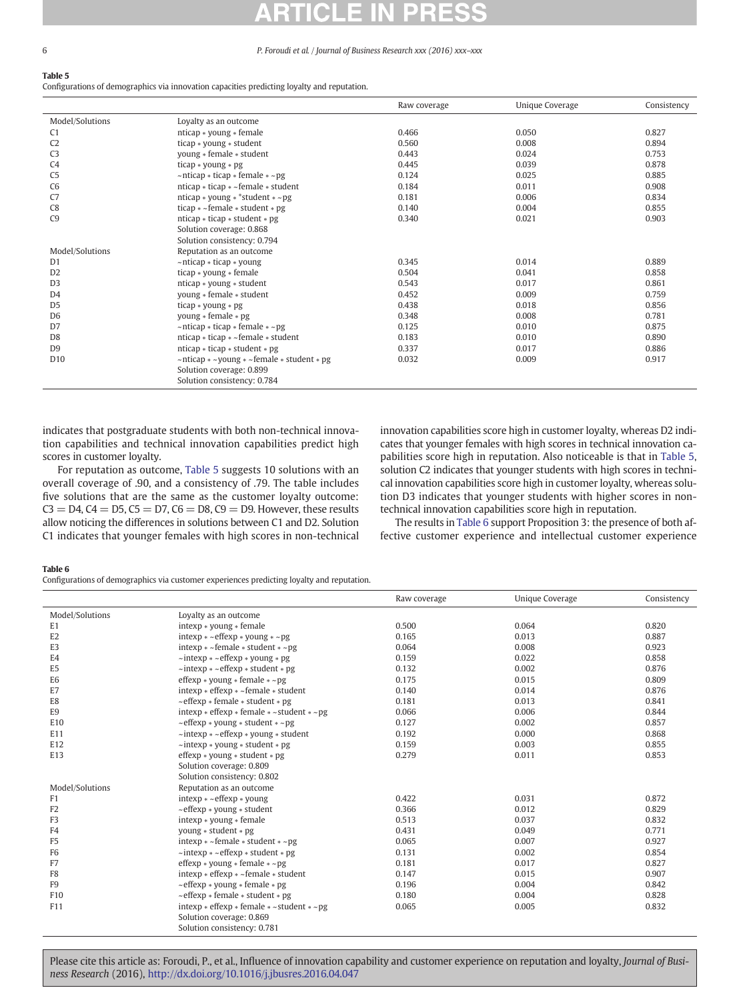### <span id="page-5-0"></span>Table 5

Configurations of demographics via innovation capacities predicting loyalty and reputation.

|                 |                                                                 | Raw coverage | Unique Coverage | Consistency |
|-----------------|-----------------------------------------------------------------|--------------|-----------------|-------------|
| Model/Solutions | Loyalty as an outcome                                           |              |                 |             |
| C <sub>1</sub>  | nticap * young * female                                         | 0.466        | 0.050           | 0.827       |
| C <sub>2</sub>  | ticap * young * student                                         | 0.560        | 0.008           | 0.894       |
| C <sub>3</sub>  | young * female * student                                        | 0.443        | 0.024           | 0.753       |
| C4              | ticap $*$ young $*$ pg                                          | 0.445        | 0.039           | 0.878       |
| C <sub>5</sub>  | $\sim$ nticap $*$ ticap $*$ female $*$ $\sim$ pg                | 0.124        | 0.025           | 0.885       |
| C <sub>6</sub>  | nticap $*$ ticap $*$ ~female $*$ student                        | 0.184        | 0.011           | 0.908       |
| C7              | nticap $*$ young $*$ *student $*$ ~pg                           | 0.181        | 0.006           | 0.834       |
| C8              | ticap $*$ ~ female $*$ student $*$ pg                           | 0.140        | 0.004           | 0.855       |
| C <sub>9</sub>  | nticap $*$ ticap $*$ student $*$ pg                             | 0.340        | 0.021           | 0.903       |
|                 | Solution coverage: 0.868                                        |              |                 |             |
|                 | Solution consistency: 0.794                                     |              |                 |             |
| Model/Solutions | Reputation as an outcome                                        |              |                 |             |
| D <sub>1</sub>  | ~nticap * ticap * young                                         | 0.345        | 0.014           | 0.889       |
| D <sub>2</sub>  | ticap * young * female                                          | 0.504        | 0.041           | 0.858       |
| D <sub>3</sub>  | nticap * young * student                                        | 0.543        | 0.017           | 0.861       |
| D <sub>4</sub>  | young * female * student                                        | 0.452        | 0.009           | 0.759       |
| D <sub>5</sub>  | ticap $*$ young $*$ pg                                          | 0.438        | 0.018           | 0.856       |
| D <sub>6</sub>  | young $*$ female $*$ pg                                         | 0.348        | 0.008           | 0.781       |
| D <sub>7</sub>  | $\sim$ nticap $*$ ticap $*$ female $*$ $\sim$ pg                | 0.125        | 0.010           | 0.875       |
| D <sub>8</sub>  | nticap $*$ ticap $*$ ~female $*$ student                        | 0.183        | 0.010           | 0.890       |
| D <sub>9</sub>  | nticap $*$ ticap $*$ student $*$ pg                             | 0.337        | 0.017           | 0.886       |
| D <sub>10</sub> | $\sim$ nticap $* \sim$ young $* \sim$ female $*$ student $*$ pg | 0.032        | 0.009           | 0.917       |
|                 | Solution coverage: 0.899                                        |              |                 |             |
|                 | Solution consistency: 0.784                                     |              |                 |             |

indicates that postgraduate students with both non-technical innovation capabilities and technical innovation capabilities predict high scores in customer loyalty.

For reputation as outcome, Table 5 suggests 10 solutions with an overall coverage of .90, and a consistency of .79. The table includes five solutions that are the same as the customer loyalty outcome:  $C3 = D4$ ,  $C4 = D5$ ,  $C5 = D7$ ,  $C6 = D8$ ,  $C9 = D9$ . However, these results allow noticing the differences in solutions between C1 and D2. Solution C1 indicates that younger females with high scores in non-technical

innovation capabilities score high in customer loyalty, whereas D2 indicates that younger females with high scores in technical innovation capabilities score high in reputation. Also noticeable is that in Table 5, solution C2 indicates that younger students with high scores in technical innovation capabilities score high in customer loyalty, whereas solution D3 indicates that younger students with higher scores in nontechnical innovation capabilities score high in reputation.

The results in Table 6 support Proposition 3: the presence of both affective customer experience and intellectual customer experience

#### Table 6

Configurations of demographics via customer experiences predicting loyalty and reputation.

|                 |                                                                | Raw coverage | Unique Coverage | Consistency |
|-----------------|----------------------------------------------------------------|--------------|-----------------|-------------|
| Model/Solutions | Loyalty as an outcome                                          |              |                 |             |
| E1              | $intexp * \text{volume} * female$                              | 0.500        | 0.064           | 0.820       |
| E <sub>2</sub>  | $intexp * ~eff exp *$ young $* ~pg$                            | 0.165        | 0.013           | 0.887       |
| E <sub>3</sub>  | $intexp * ~f$ female $*$ student $* ~p$ g                      | 0.064        | 0.008           | 0.923       |
| E4              | $\sim$ intexp $\ast \sim$ effexp $\ast$ young $\ast$ pg        | 0.159        | 0.022           | 0.858       |
| E <sub>5</sub>  | $\sim$ intexp $\ast \sim$ effexp $\ast$ student $\ast$ pg      | 0.132        | 0.002           | 0.876       |
| E <sub>6</sub>  | effexp $*$ young $*$ female $*$ ~ pg                           | 0.175        | 0.015           | 0.809       |
| E7              | $intexp * effexp * ~female * student$                          | 0.140        | 0.014           | 0.876       |
| E8              | $\sim$ effexp $*$ female $*$ student $*$ pg                    | 0.181        | 0.013           | 0.841       |
| E9              | intexp $*$ effexp $*$ female $* \sim$ student $* \sim$ pg      | 0.066        | 0.006           | 0.844       |
| E10             | $\sim$ effexp $*$ young $*$ student $*$ $\sim$ pg              | 0.127        | 0.002           | 0.857       |
| E11             | $\sim$ intexp $\ast$ $\sim$ effexp $\ast$ young $\ast$ student | 0.192        | 0.000           | 0.868       |
| E12             | $\sim$ intexp $*$ young $*$ student $*$ pg                     | 0.159        | 0.003           | 0.855       |
| E13             | effexp $*$ young $*$ student $*$ pg                            | 0.279        | 0.011           | 0.853       |
|                 | Solution coverage: 0.809                                       |              |                 |             |
|                 | Solution consistency: 0.802                                    |              |                 |             |
| Model/Solutions | Reputation as an outcome                                       |              |                 |             |
| F <sub>1</sub>  | $intexp * -effexp *$ young                                     | 0.422        | 0.031           | 0.872       |
| F <sub>2</sub>  | $\sim$ effexp $*$ young $*$ student                            | 0.366        | 0.012           | 0.829       |
| F3              | $intexp * young * female$                                      | 0.513        | 0.037           | 0.832       |
| F <sub>4</sub>  | young $*$ student $*$ pg                                       | 0.431        | 0.049           | 0.771       |
| F <sub>5</sub>  | $intexp * ~female * student * ~pg$                             | 0.065        | 0.007           | 0.927       |
| F6              | $\sim$ intexp $\ast \sim$ effexp $\ast$ student $\ast$ pg      | 0.131        | 0.002           | 0.854       |
| F7              | effexp $*$ young $*$ female $*$ ~ pg                           | 0.181        | 0.017           | 0.827       |
| F8              | $intexp * effexp * ~female * student$                          | 0.147        | 0.015           | 0.907       |
| F9              | $\sim$ effexp $*$ young $*$ female $*$ pg                      | 0.196        | 0.004           | 0.842       |
| F10             | $\sim$ effexp $*$ female $*$ student $*$ pg                    | 0.180        | 0.004           | 0.828       |
| F11             | $intexp * effexp * female * ~ student * ~pg$                   | 0.065        | 0.005           | 0.832       |
|                 | Solution coverage: 0.869                                       |              |                 |             |
|                 | Solution consistency: 0.781                                    |              |                 |             |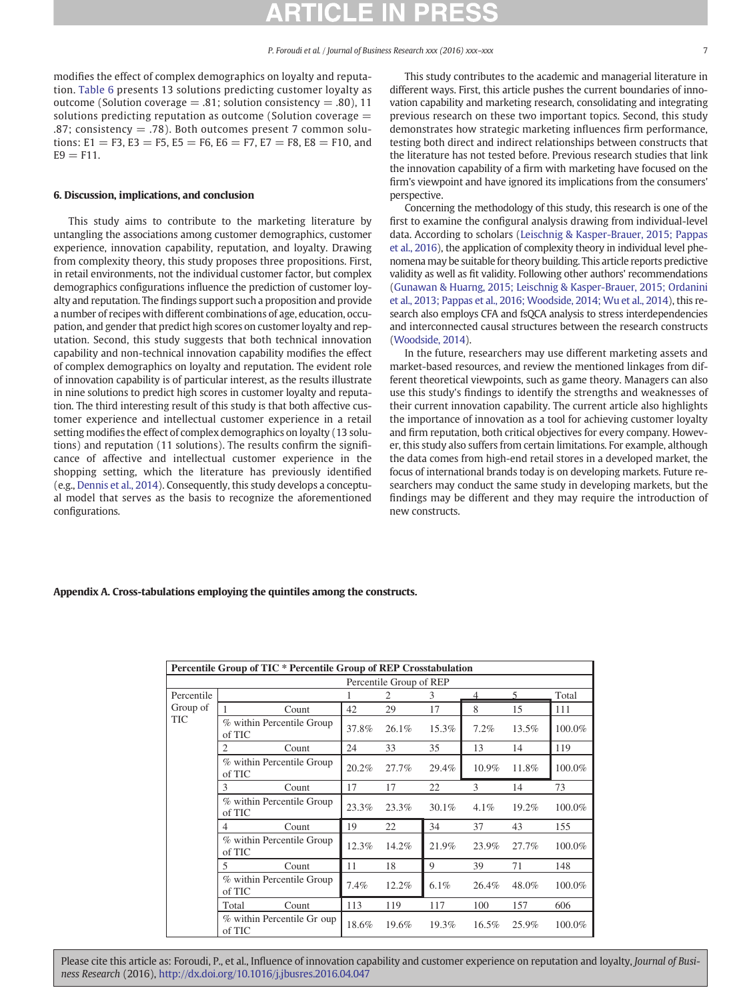modifies the effect of complex demographics on loyalty and reputation. [Table 6](#page-5-0) presents 13 solutions predicting customer loyalty as outcome (Solution coverage  $= .81$ ; solution consistency  $= .80$ ), 11 solutions predicting reputation as outcome (Solution coverage = .87; consistency  $= .78$ ). Both outcomes present 7 common solutions: E1 = F3, E3 = F5, E5 = F6, E6 = F7, E7 = F8, E8 = F10, and  $E9 = F11.$ 

#### 6. Discussion, implications, and conclusion

This study aims to contribute to the marketing literature by untangling the associations among customer demographics, customer experience, innovation capability, reputation, and loyalty. Drawing from complexity theory, this study proposes three propositions. First, in retail environments, not the individual customer factor, but complex demographics configurations influence the prediction of customer loyalty and reputation. The findings support such a proposition and provide a number of recipes with different combinations of age, education, occupation, and gender that predict high scores on customer loyalty and reputation. Second, this study suggests that both technical innovation capability and non-technical innovation capability modifies the effect of complex demographics on loyalty and reputation. The evident role of innovation capability is of particular interest, as the results illustrate in nine solutions to predict high scores in customer loyalty and reputation. The third interesting result of this study is that both affective customer experience and intellectual customer experience in a retail setting modifies the effect of complex demographics on loyalty (13 solutions) and reputation (11 solutions). The results confirm the significance of affective and intellectual customer experience in the shopping setting, which the literature has previously identified (e.g., [Dennis et al., 2014](#page-7-0)). Consequently, this study develops a conceptual model that serves as the basis to recognize the aforementioned configurations.

This study contributes to the academic and managerial literature in different ways. First, this article pushes the current boundaries of innovation capability and marketing research, consolidating and integrating previous research on these two important topics. Second, this study demonstrates how strategic marketing influences firm performance, testing both direct and indirect relationships between constructs that the literature has not tested before. Previous research studies that link the innovation capability of a firm with marketing have focused on the firm's viewpoint and have ignored its implications from the consumers' perspective.

Concerning the methodology of this study, this research is one of the first to examine the configural analysis drawing from individual-level data. According to scholars ([Leischnig & Kasper-Brauer, 2015; Pappas](#page-7-0) [et al., 2016\)](#page-7-0), the application of complexity theory in individual level phenomena may be suitable for theory building. This article reports predictive validity as well as fit validity. Following other authors' recommendations ([Gunawan & Huarng, 2015; Leischnig & Kasper-Brauer, 2015; Ordanini](#page-7-0) [et al., 2013; Pappas et al., 2016; Woodside, 2014; Wu et al., 2014](#page-7-0)), this research also employs CFA and fsQCA analysis to stress interdependencies and interconnected causal structures between the research constructs [\(Woodside, 2014\)](#page-7-0).

In the future, researchers may use different marketing assets and market-based resources, and review the mentioned linkages from different theoretical viewpoints, such as game theory. Managers can also use this study's findings to identify the strengths and weaknesses of their current innovation capability. The current article also highlights the importance of innovation as a tool for achieving customer loyalty and firm reputation, both critical objectives for every company. However, this study also suffers from certain limitations. For example, although the data comes from high-end retail stores in a developed market, the focus of international brands today is on developing markets. Future researchers may conduct the same study in developing markets, but the findings may be different and they may require the introduction of new constructs.

#### Appendix A. Cross-tabulations employing the quintiles among the constructs.

|            | Percentile Group of TIC * Percentile Group of REP Crosstabulation |                          |       |         |       |       |        |  |  |
|------------|-------------------------------------------------------------------|--------------------------|-------|---------|-------|-------|--------|--|--|
|            | Percentile Group of REP                                           |                          |       |         |       |       |        |  |  |
| Percentile |                                                                   | $\overline{\phantom{0}}$ | Total |         |       |       |        |  |  |
| Group of   | Count                                                             | 42                       | 29    | 17      | 8     | 15    | 111    |  |  |
| <b>TIC</b> | % within Percentile Group<br>of TIC                               | 37.8%                    | 26.1% | 15.3%   | 7.2%  | 13.5% | 100.0% |  |  |
|            | 2<br>Count                                                        | 24                       | 33    | 35      | 13    | 14    | 119    |  |  |
|            | % within Percentile Group<br>of TIC                               | 20.2%                    | 27.7% | 29.4%   | 10.9% | 11.8% | 100.0% |  |  |
|            | 3<br>Count                                                        | 17                       | 17    | 22      | 3     | 14    | 73     |  |  |
|            | % within Percentile Group<br>of TIC                               | 23.3%                    | 23.3% | 30.1%   | 4.1%  | 19.2% | 100.0% |  |  |
|            | Count<br>4                                                        | 19                       | 22    | 34      | 37    | 43    | 155    |  |  |
|            | % within Percentile Group<br>of TIC                               | 12.3%                    | 14.2% | 21.9%   | 23.9% | 27.7% | 100.0% |  |  |
|            | 5<br>Count                                                        | 11                       | 18    | 9       | 39    | 71    | 148    |  |  |
|            | % within Percentile Group<br>of TIC                               | 7.4%                     | 12.2% | $6.1\%$ | 26.4% | 48.0% | 100.0% |  |  |
|            | Total<br>Count                                                    | 113                      | 119   | 117     | 100   | 157   | 606    |  |  |
|            | % within Percentile Gr oup<br>of TIC                              | 18.6%                    | 19.6% | 19.3%   | 16.5% | 25.9% | 100.0% |  |  |